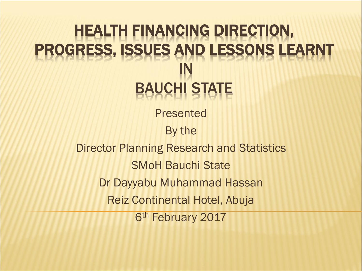#### HEALTH FINANCING DIRECTION, PROGRESS, ISSUES AND LESSONS LEARNT IN **BAUCHI ST**

Presented

By the

Director Planning Research and Statistics SMoH Bauchi State Dr Dayyabu Muhammad Hassan Reiz Continental Hotel, Abuja 6th February 2017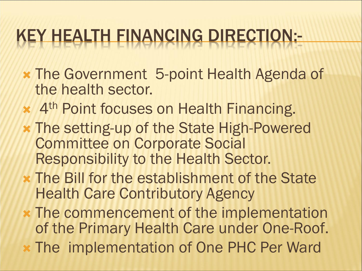## KEY HEALTH FINANCING DIRECTION:-

- The Government 5-point Health Agenda of the health sector.
- \* 4<sup>th</sup> Point focuses on Health Financing.
- The setting-up of the State High-Powered Committee on Corporate Social Responsibility to the Health Sector.
- The Bill for the establishment of the State Health Care Contributory Agency
- The commencement of the implementation of the Primary Health Care under One-Roof.
- The implementation of One PHC Per Ward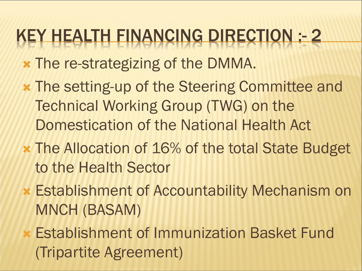### KEY HEALTH FINANCING DIRECTION :- 2

- The re-strategizing of the DMMA.
- The setting-up of the Steering Committee and Technical Working Group (TWG) on the Domestication of the National Health Act
- The Allocation of 16% of the total State Budget to the Health Sector
- Establishment of Accountability Mechanism on MNCH (BASAM)
- Establishment of Immunization Basket Fund (Tripartite Agreement)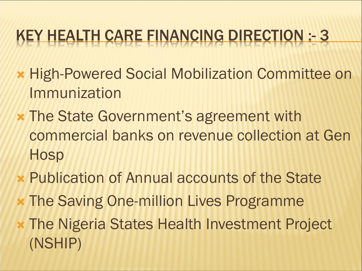### KEY HEALTH CARE FINANCING DIRECTION :- 3

- High-Powered Social Mobilization Committee on Immunization
- The State Government's agreement with commercial banks on revenue collection at Gen **Hosp**
- **x Publication of Annual accounts of the State**
- The Saving One-million Lives Programme
- The Nigeria States Health Investment Project (NSHIP)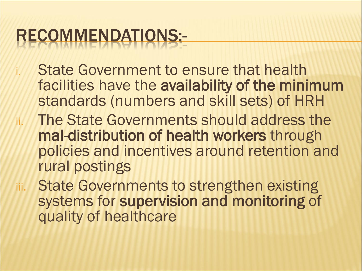# RECOMMENDATIONS:-

- State Government to ensure that health facilities have the availability of the minimum standards (numbers and skill sets) of HRH
- ii. The State Governments should address the mal-distribution of health workers through policies and incentives around retention and rural postings
- iii. State Governments to strengthen existing systems for supervision and monitoring of quality of healthcare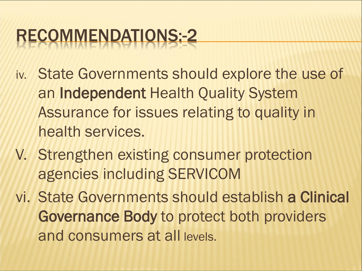# RECOMMENDATIONS:-2

- iv. State Governments should explore the use of an Independent Health Quality System Assurance for issues relating to quality in health services.
- V. Strengthen existing consumer protection agencies including SERVICOM

vi. State Governments should establish a Clinical Governance Body to protect both providers and consumers at all levels.